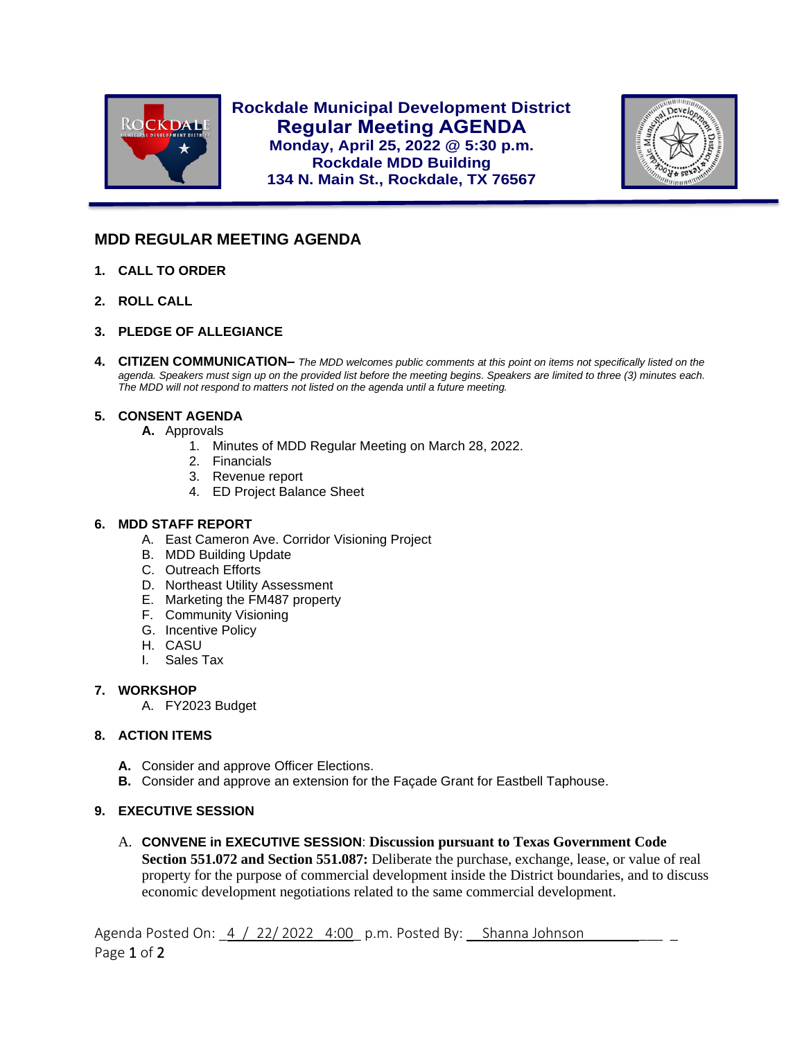

**Rockdale Municipal Development District Regular Meeting AGENDA Monday, April 25, 2022 @ 5:30 p.m. Rockdale MDD Building 134 N. Main St., Rockdale, TX 76567**



# **MDD REGULAR MEETING AGENDA**

- **1. CALL TO ORDER**
- **2. ROLL CALL**

l

- **3. PLEDGE OF ALLEGIANCE**
- **4. CITIZEN COMMUNICATION–** *The MDD welcomes public comments at this point on items not specifically listed on the agenda. Speakers must sign up on the provided list before the meeting begins. Speakers are limited to three (3) minutes each. The MDD will not respond to matters not listed on the agenda until a future meeting.*

## **5. CONSENT AGENDA**

- **A.** Approvals
	- 1. Minutes of MDD Regular Meeting on March 28, 2022.
	- 2. Financials
	- 3. Revenue report
	- 4. ED Project Balance Sheet

### **6. MDD STAFF REPORT**

- A. East Cameron Ave. Corridor Visioning Project
- B. MDD Building Update
- C. Outreach Efforts
- D. Northeast Utility Assessment
- E. Marketing the FM487 property
- F. Community Visioning
- G. Incentive Policy
- H. CASU
- I. Sales Tax

#### **7. WORKSHOP**

A. FY2023 Budget

## **8. ACTION ITEMS**

- **A.** Consider and approve Officer Elections.
- **B.** Consider and approve an extension for the Façade Grant for Eastbell Taphouse.

## **9. EXECUTIVE SESSION**

A. **CONVENE in EXECUTIVE SESSION**: **Discussion pursuant to Texas Government Code Section 551.072 and Section 551.087:** Deliberate the purchase, exchange, lease, or value of real property for the purpose of commercial development inside the District boundaries, and to discuss economic development negotiations related to the same commercial development.

Agenda Posted On: 4 / 22/ 2022 4:00 p.m. Posted By: Shanna Johnson Page 1 of 2